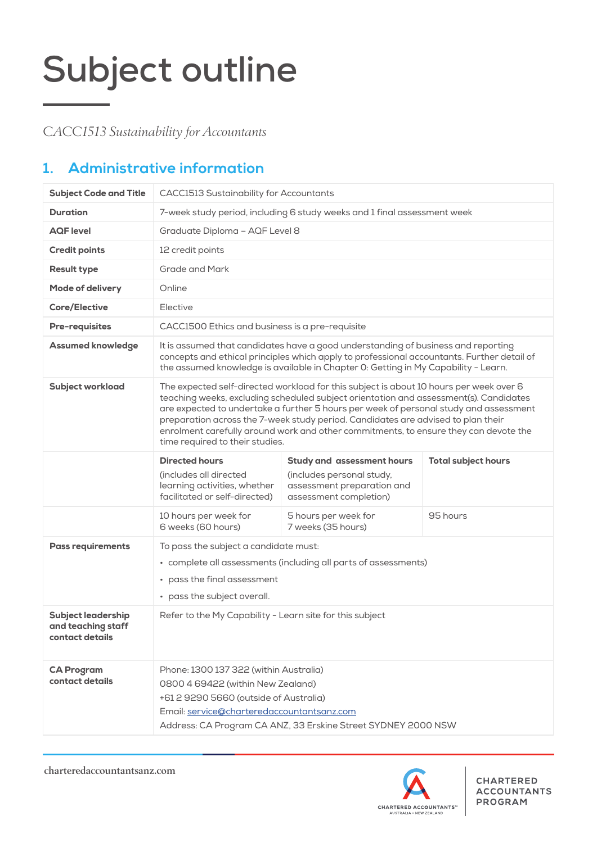*CACC1513 Sustainability for Accountants*

## **1. Administrative information**

| <b>Subject Code and Title</b>                                      | <b>CACC1513 Sustainability for Accountants</b>                                                                                                                                                                                                                                                                                                                                                                                                                                          |                                                                                                                                                                                                                                                                       |                            |  |  |
|--------------------------------------------------------------------|-----------------------------------------------------------------------------------------------------------------------------------------------------------------------------------------------------------------------------------------------------------------------------------------------------------------------------------------------------------------------------------------------------------------------------------------------------------------------------------------|-----------------------------------------------------------------------------------------------------------------------------------------------------------------------------------------------------------------------------------------------------------------------|----------------------------|--|--|
| <b>Duration</b>                                                    | 7-week study period, including 6 study weeks and 1 final assessment week                                                                                                                                                                                                                                                                                                                                                                                                                |                                                                                                                                                                                                                                                                       |                            |  |  |
| <b>AQF</b> level                                                   | Graduate Diploma - AQF Level 8                                                                                                                                                                                                                                                                                                                                                                                                                                                          |                                                                                                                                                                                                                                                                       |                            |  |  |
| <b>Credit points</b>                                               | 12 credit points                                                                                                                                                                                                                                                                                                                                                                                                                                                                        |                                                                                                                                                                                                                                                                       |                            |  |  |
| <b>Result type</b>                                                 | <b>Grade and Mark</b>                                                                                                                                                                                                                                                                                                                                                                                                                                                                   |                                                                                                                                                                                                                                                                       |                            |  |  |
| Mode of delivery                                                   | Online                                                                                                                                                                                                                                                                                                                                                                                                                                                                                  |                                                                                                                                                                                                                                                                       |                            |  |  |
| <b>Core/Elective</b>                                               | Elective                                                                                                                                                                                                                                                                                                                                                                                                                                                                                |                                                                                                                                                                                                                                                                       |                            |  |  |
| <b>Pre-requisites</b>                                              | CACC1500 Ethics and business is a pre-requisite                                                                                                                                                                                                                                                                                                                                                                                                                                         |                                                                                                                                                                                                                                                                       |                            |  |  |
| <b>Assumed knowledge</b>                                           |                                                                                                                                                                                                                                                                                                                                                                                                                                                                                         | It is assumed that candidates have a good understanding of business and reporting<br>concepts and ethical principles which apply to professional accountants. Further detail of<br>the assumed knowledge is available in Chapter 0: Getting in My Capability - Learn. |                            |  |  |
| <b>Subject workload</b>                                            | The expected self-directed workload for this subject is about 10 hours per week over 6<br>teaching weeks, excluding scheduled subject orientation and assessment(s). Candidates<br>are expected to undertake a further 5 hours per week of personal study and assessment<br>preparation across the 7-week study period. Candidates are advised to plan their<br>enrolment carefully around work and other commitments, to ensure they can devote the<br>time required to their studies. |                                                                                                                                                                                                                                                                       |                            |  |  |
|                                                                    | <b>Directed hours</b><br>(includes all directed<br>learning activities, whether<br>facilitated or self-directed)                                                                                                                                                                                                                                                                                                                                                                        | <b>Study and assessment hours</b><br>(includes personal study,<br>assessment preparation and<br>assessment completion)                                                                                                                                                | <b>Total subject hours</b> |  |  |
|                                                                    | 10 hours per week for<br>6 weeks (60 hours)                                                                                                                                                                                                                                                                                                                                                                                                                                             | 5 hours per week for<br>95 hours<br>7 weeks (35 hours)                                                                                                                                                                                                                |                            |  |  |
| <b>Pass requirements</b>                                           | To pass the subject a candidate must:<br>• complete all assessments (including all parts of assessments)<br>pass the final assessment<br>• pass the subject overall.                                                                                                                                                                                                                                                                                                                    |                                                                                                                                                                                                                                                                       |                            |  |  |
| <b>Subject leadership</b><br>and teaching staff<br>contact details | Refer to the My Capability - Learn site for this subject                                                                                                                                                                                                                                                                                                                                                                                                                                |                                                                                                                                                                                                                                                                       |                            |  |  |
| <b>CA Program</b><br>contact details                               | Phone: 1300 137 322 (within Australia)<br>0800 4 69422 (within New Zealand)<br>+61 2 9290 5660 (outside of Australia)<br>Email: service@charteredaccountantsanz.com<br>Address: CA Program CA ANZ, 33 Erskine Street SYDNEY 2000 NSW                                                                                                                                                                                                                                                    |                                                                                                                                                                                                                                                                       |                            |  |  |

charteredaccountantsanz.com



**CHARTERED ACCOUNTANTS PROGRAM**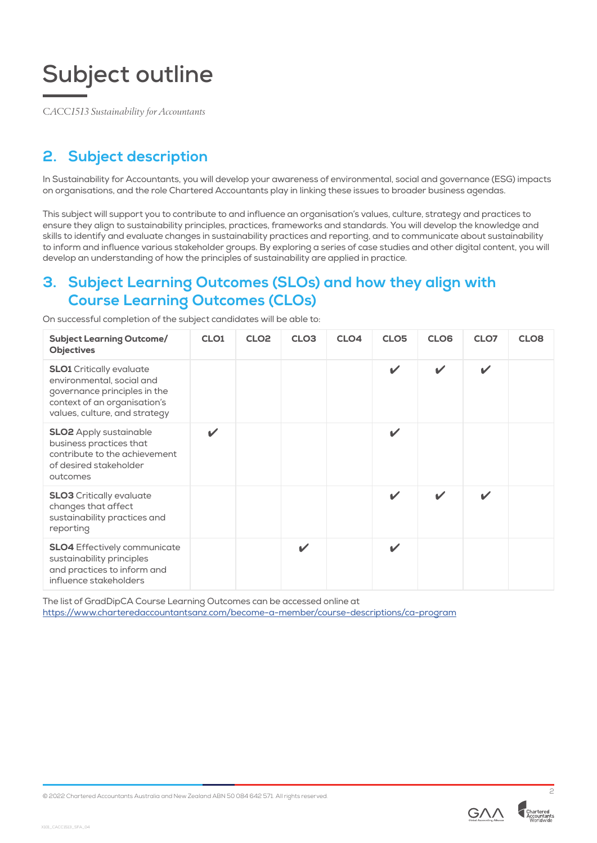*CACC1513 Sustainability for Accountants*

## **2. Subject description**

In Sustainability for Accountants, you will develop your awareness of environmental, social and governance (ESG) impacts on organisations, and the role Chartered Accountants play in linking these issues to broader business agendas.

This subject will support you to contribute to and influence an organisation's values, culture, strategy and practices to ensure they align to sustainability principles, practices, frameworks and standards. You will develop the knowledge and skills to identify and evaluate changes in sustainability practices and reporting, and to communicate about sustainability to inform and influence various stakeholder groups. By exploring a series of case studies and other digital content, you will develop an understanding of how the principles of sustainability are applied in practice.

## **3. Subject Learning Outcomes (SLOs) and how they align with Course Learning Outcomes (CLOs)**

| On successful completion of the subject candidates will be able to: |  |
|---------------------------------------------------------------------|--|
|---------------------------------------------------------------------|--|

| <b>Subject Learning Outcome/</b><br><b>Objectives</b>                                                                                                         | CLO <sub>1</sub> | CLO <sub>2</sub> | CLO <sub>3</sub> | CLO <sub>4</sub> | CLO <sub>5</sub>           | CLO <sub>6</sub>           | CLO7                     | CLO <sub>8</sub> |
|---------------------------------------------------------------------------------------------------------------------------------------------------------------|------------------|------------------|------------------|------------------|----------------------------|----------------------------|--------------------------|------------------|
| <b>SLO1</b> Critically evaluate<br>environmental, social and<br>governance principles in the<br>context of an organisation's<br>values, culture, and strategy |                  |                  |                  |                  | $\mathbf{v}$               | ✓                          | $\checkmark$             |                  |
| <b>SLO2</b> Apply sustainable<br>business practices that<br>contribute to the achievement<br>of desired stakeholder<br>outcomes                               | ✓                |                  |                  |                  | $\mathbf{v}$               |                            |                          |                  |
| <b>SLO3</b> Critically evaluate<br>changes that affect<br>sustainability practices and<br>reporting                                                           |                  |                  |                  |                  | $\boldsymbol{\mathscr{C}}$ | $\boldsymbol{\mathscr{L}}$ | $\overline{\mathscr{L}}$ |                  |
| <b>SLO4</b> Effectively communicate<br>sustainability principles<br>and practices to inform and<br>influence stakeholders                                     |                  |                  | ✓                |                  | $\boldsymbol{\mathscr{L}}$ |                            |                          |                  |

The list of GradDipCA Course Learning Outcomes can be accessed online at <https://www.charteredaccountantsanz.com/become-a-member/course-descriptions/ca-program>

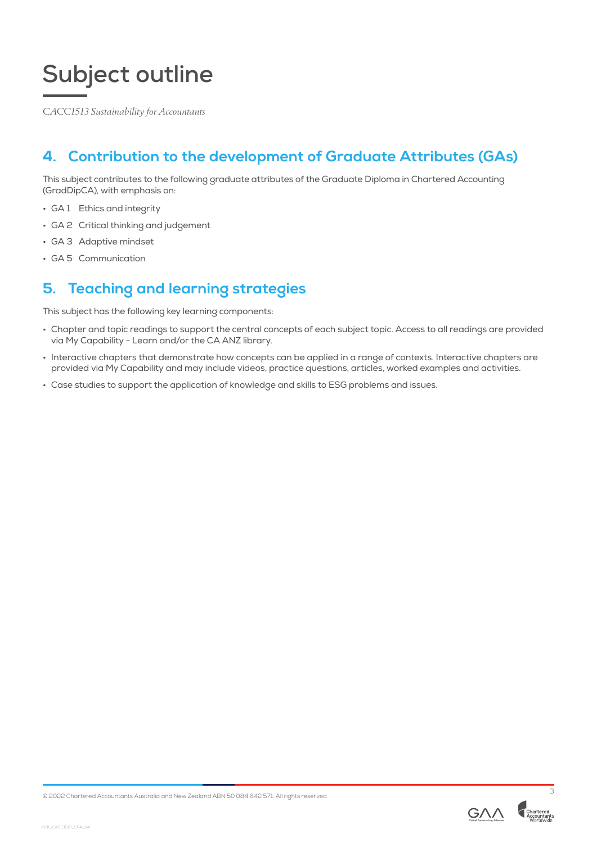*CACC1513 Sustainability for Accountants*

## **4. Contribution to the development of Graduate Attributes (GAs)**

This subject contributes to the following graduate attributes of the Graduate Diploma in Chartered Accounting (GradDipCA), with emphasis on:

- GA 1 Ethics and integrity
- GA 2 Critical thinking and judgement
- GA 3 Adaptive mindset
- GA 5 Communication

## **5. Teaching and learning strategies**

This subject has the following key learning components:

- Chapter and topic readings to support the central concepts of each subject topic. Access to all readings are provided via My Capability - Learn and/or the CA ANZ library.
- Interactive chapters that demonstrate how concepts can be applied in a range of contexts. Interactive chapters are provided via My Capability and may include videos, practice questions, articles, worked examples and activities.
- Case studies to support the application of knowledge and skills to ESG problems and issues.

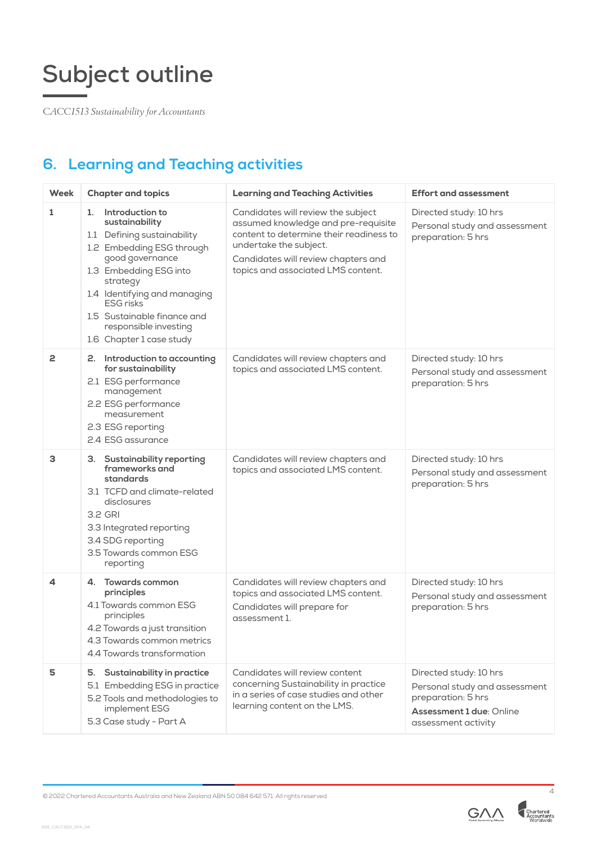*CACC1513 Sustainability for Accountants*

## **6. Learning and Teaching activities**

| <b>Week</b>    | <b>Chapter and topics</b>                                                                                                                                                                                                                                                                            | <b>Learning and Teaching Activities</b>                                                                                                                                                                                     | <b>Effort and assessment</b>                                                                                                     |  |  |
|----------------|------------------------------------------------------------------------------------------------------------------------------------------------------------------------------------------------------------------------------------------------------------------------------------------------------|-----------------------------------------------------------------------------------------------------------------------------------------------------------------------------------------------------------------------------|----------------------------------------------------------------------------------------------------------------------------------|--|--|
| 1              | Introduction to<br>1.<br>sustainability<br>1.1 Defining sustainability<br>1.2 Embedding ESG through<br>good governance<br>1.3 Embedding ESG into<br>strategy<br>1.4 Identifying and managing<br><b>ESG</b> risks<br>1.5 Sustainable finance and<br>responsible investing<br>1.6 Chapter 1 case study | Candidates will review the subject<br>assumed knowledge and pre-requisite<br>content to determine their readiness to<br>undertake the subject.<br>Candidates will review chapters and<br>topics and associated LMS content. | Directed study: 10 hrs<br>Personal study and assessment<br>preparation: 5 hrs                                                    |  |  |
| $\overline{c}$ | 2. Introduction to accounting<br>for sustainability<br>2.1 ESG performance<br>management<br>2.2 ESG performance<br>measurement<br>2.3 ESG reporting<br>2.4 ESG assurance                                                                                                                             | Candidates will review chapters and<br>topics and associated LMS content.                                                                                                                                                   | Directed study: 10 hrs<br>Personal study and assessment<br>preparation: 5 hrs                                                    |  |  |
| 3              | 3. Sustainability reporting<br>frameworks and<br>standards<br>3.1 TCFD and climate-related<br>disclosures<br>3.2 GRI<br>3.3 Integrated reporting<br>3.4 SDG reporting<br>3.5 Towards common ESG<br>reporting                                                                                         | Candidates will review chapters and<br>topics and associated LMS content.                                                                                                                                                   | Directed study: 10 hrs<br>Personal study and assessment<br>preparation: 5 hrs                                                    |  |  |
| 4              | 4. Towards common<br>principles<br>4.1 Towards common ESG<br>principles<br>4.2 Towards a just transition<br>4.3 Towards common metrics<br>4.4 Towards transformation                                                                                                                                 | Candidates will review chapters and<br>topics and associated LMS content.<br>Candidates will prepare for<br>assessment 1.                                                                                                   | Directed study: 10 hrs<br>Personal study and assessment<br>preparation: 5 hrs                                                    |  |  |
| 5              | <b>Sustainability in practice</b><br>5.<br>5.1 Embedding ESG in practice<br>5.2 Tools and methodologies to<br>implement ESG<br>5.3 Case study - Part A                                                                                                                                               | Candidates will review content<br>concerning Sustainability in practice<br>in a series of case studies and other<br>learning content on the LMS.                                                                            | Directed study: 10 hrs<br>Personal study and assessment<br>preparation: 5 hrs<br>Assessment 1 due: Online<br>assessment activity |  |  |

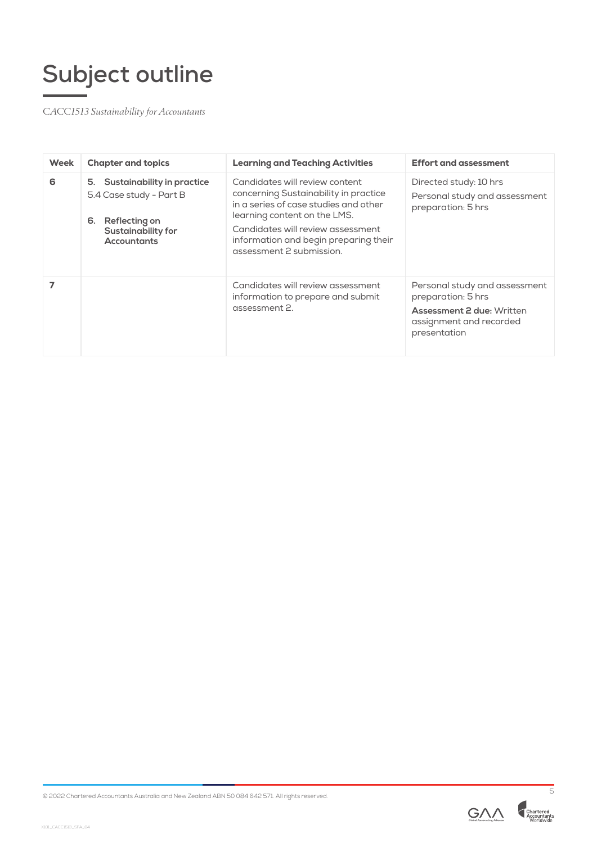*CACC1513 Sustainability for Accountants*

| Week | <b>Chapter and topics</b>                                                                                                          | <b>Learning and Teaching Activities</b>                                                                                                                                                                                                                    | <b>Effort and assessment</b>                                                                                                       |  |
|------|------------------------------------------------------------------------------------------------------------------------------------|------------------------------------------------------------------------------------------------------------------------------------------------------------------------------------------------------------------------------------------------------------|------------------------------------------------------------------------------------------------------------------------------------|--|
| 6    | 5. Sustainability in practice<br>5.4 Case study - Part B<br>Reflecting on<br>6.<br><b>Sustainability for</b><br><b>Accountants</b> | Candidates will review content<br>concerning Sustainability in practice<br>in a series of case studies and other<br>learning content on the LMS.<br>Candidates will review assessment<br>information and begin preparing their<br>assessment 2 submission. | Directed study: 10 hrs<br>Personal study and assessment<br>preparation: 5 hrs                                                      |  |
|      |                                                                                                                                    | Candidates will review assessment<br>information to prepare and submit<br>assessment 2.                                                                                                                                                                    | Personal study and assessment<br>preparation: 5 hrs<br><b>Assessment 2 due: Written</b><br>assignment and recorded<br>presentation |  |

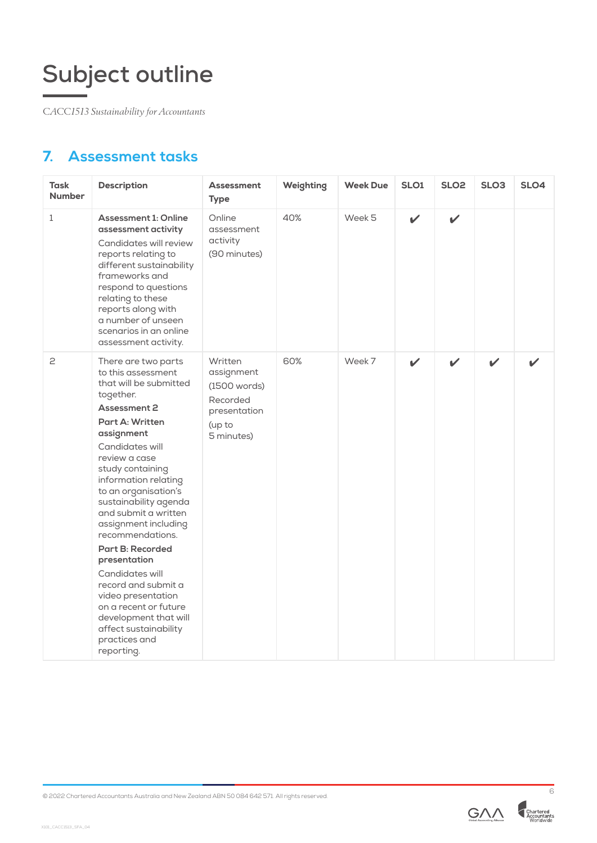*CACC1513 Sustainability for Accountants*

## **7. Assessment tasks**

| <b>Task</b><br><b>Number</b> | <b>Description</b>                                                                                                                                                                                                                                                                                                                                                                                                                                                                                                                                                 | <b>Assessment</b><br><b>Type</b>                                                          | Weighting | <b>Week Due</b> | SLO1        | SLO <sub>2</sub> | SLO <sub>3</sub> | SLO <sub>4</sub> |
|------------------------------|--------------------------------------------------------------------------------------------------------------------------------------------------------------------------------------------------------------------------------------------------------------------------------------------------------------------------------------------------------------------------------------------------------------------------------------------------------------------------------------------------------------------------------------------------------------------|-------------------------------------------------------------------------------------------|-----------|-----------------|-------------|------------------|------------------|------------------|
| $\mathbf{1}$                 | <b>Assessment 1: Online</b><br>assessment activity<br>Candidates will review<br>reports relating to<br>different sustainability<br>frameworks and<br>respond to questions<br>relating to these<br>reports along with<br>a number of unseen<br>scenarios in an online<br>assessment activity.                                                                                                                                                                                                                                                                       | Online<br>assessment<br>activity<br>(90 minutes)                                          | 40%       | Week 5          | $\mathbf v$ | $\checkmark$     |                  |                  |
| 2                            | There are two parts<br>to this assessment<br>that will be submitted<br>together.<br><b>Assessment 2</b><br>Part A: Written<br>assignment<br>Candidates will<br>review a case<br>study containing<br>information relating<br>to an organisation's<br>sustainability agenda<br>and submit a written<br>assignment including<br>recommendations.<br><b>Part B: Recorded</b><br>presentation<br>Candidates will<br>record and submit a<br>video presentation<br>on a recent or future<br>development that will<br>affect sustainability<br>practices and<br>reporting. | Written<br>assignment<br>(1500 words)<br>Recorded<br>presentation<br>(up to<br>5 minutes) | 60%       | Week 7          | ✓           | $\mathbf{v}$     | $\mathbf{v}$     |                  |



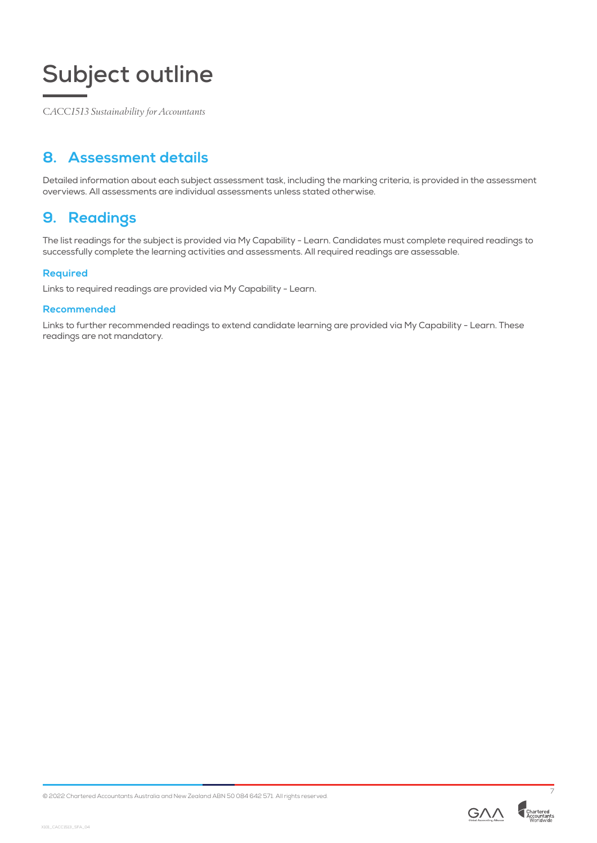*CACC1513 Sustainability for Accountants*

## **8. Assessment details**

Detailed information about each subject assessment task, including the marking criteria, is provided in the assessment overviews. All assessments are individual assessments unless stated otherwise.

### **9. Readings**

The list readings for the subject is provided via My Capability - Learn. Candidates must complete required readings to successfully complete the learning activities and assessments. All required readings are assessable.

#### **Required**

Links to required readings are provided via My Capability - Learn.

#### **Recommended**

Links to further recommended readings to extend candidate learning are provided via My Capability - Learn. These readings are not mandatory.

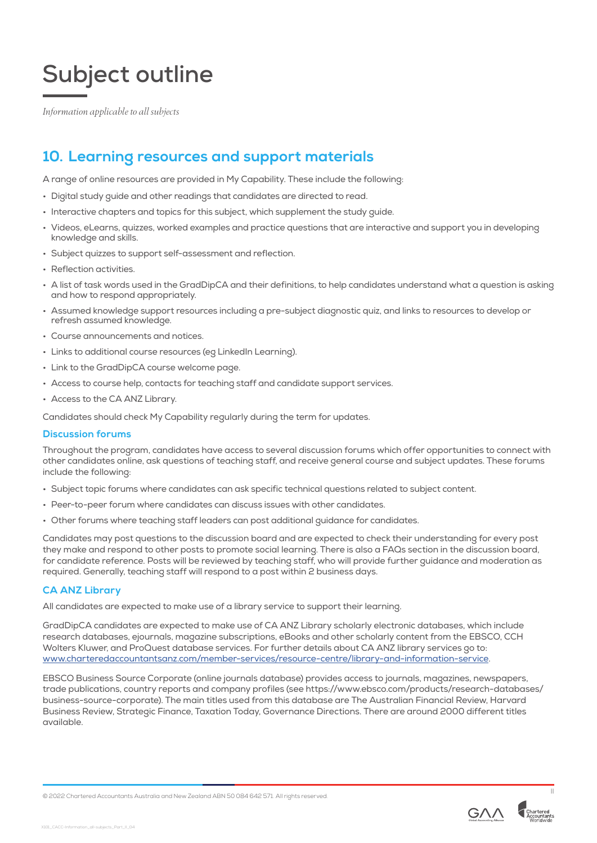*Information applicable to all subjects*

### **10. Learning resources and support materials**

A range of online resources are provided in My Capability. These include the following:

- Digital study guide and other readings that candidates are directed to read.
- Interactive chapters and topics for this subject, which supplement the study guide.
- Videos, eLearns, quizzes, worked examples and practice questions that are interactive and support you in developing knowledge and skills.
- Subject quizzes to support self-assessment and reflection.
- Reflection activities.
- A list of task words used in the GradDipCA and their definitions, to help candidates understand what a question is asking and how to respond appropriately.
- Assumed knowledge support resources including a pre-subject diagnostic quiz, and links to resources to develop or refresh assumed knowledge.
- Course announcements and notices.
- Links to additional course resources (eg LinkedIn Learning).
- Link to the GradDipCA course welcome page.
- Access to course help, contacts for teaching staff and candidate support services.
- Access to the CA ANZ Library.

Candidates should check My Capability regularly during the term for updates.

#### **Discussion forums**

Throughout the program, candidates have access to several discussion forums which offer opportunities to connect with other candidates online, ask questions of teaching staff, and receive general course and subject updates. These forums include the following:

- Subject topic forums where candidates can ask specific technical questions related to subject content.
- Peer-to-peer forum where candidates can discuss issues with other candidates.
- Other forums where teaching staff leaders can post additional guidance for candidates.

Candidates may post questions to the discussion board and are expected to check their understanding for every post they make and respond to other posts to promote social learning. There is also a FAQs section in the discussion board, for candidate reference. Posts will be reviewed by teaching staff, who will provide further guidance and moderation as required. Generally, teaching staff will respond to a post within 2 business days.

#### **CA ANZ Library**

All candidates are expected to make use of a library service to support their learning.

GradDipCA candidates are expected to make use of CA ANZ Library scholarly electronic databases, which include research databases, ejournals, magazine subscriptions, eBooks and other scholarly content from the EBSCO, CCH Wolters Kluwer, and ProQuest database services. For further details about CA ANZ library services go to: [www.charteredaccountantsanz.com/member-services/resource-centre/library-and-information-service](http://www.charteredaccountantsanz.com/member-services/resource-centre/library-and-information-service).

EBSCO Business Source Corporate (online journals database) provides access to journals, magazines, newspapers, trade publications, country reports and company profiles (see https://www.ebsco.com/products/research-databases/ business-source-corporate). The main titles used from this database are The Australian Financial Review, Harvard Business Review, Strategic Finance, Taxation Today, Governance Directions. There are around 2000 different titles available.



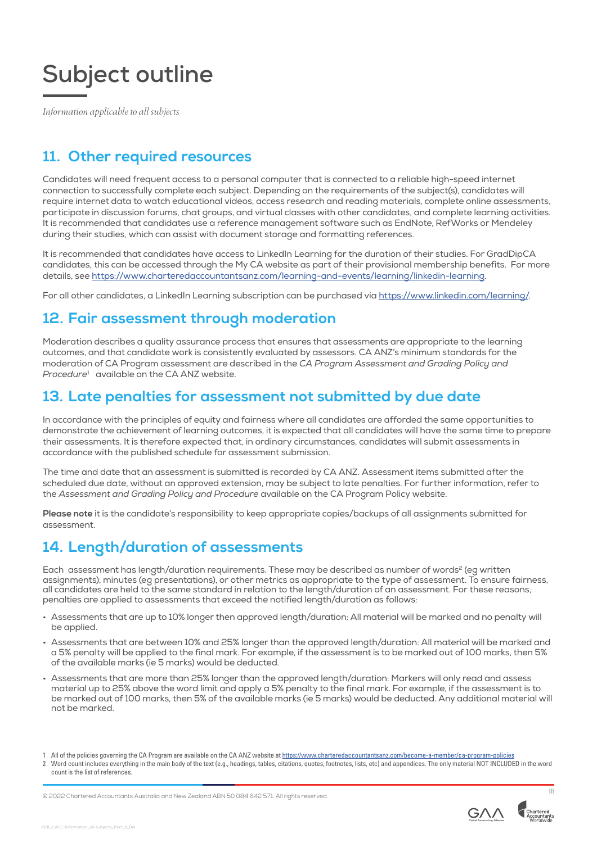*Information applicable to all subjects*

## **11. Other required resources**

Candidates will need frequent access to a personal computer that is connected to a reliable high-speed internet connection to successfully complete each subject. Depending on the requirements of the subject(s), candidates will require internet data to watch educational videos, access research and reading materials, complete online assessments, participate in discussion forums, chat groups, and virtual classes with other candidates, and complete learning activities. It is recommended that candidates use a reference management software such as EndNote, RefWorks or Mendeley during their studies, which can assist with document storage and formatting references.

It is recommended that candidates have access to LinkedIn Learning for the duration of their studies. For GradDipCA candidates, this can be accessed through the My CA website as part of their provisional membership benefits. For more details, see <https://www.charteredaccountantsanz.com/learning-and-events/learning/linkedin-learning>.

For all other candidates, a LinkedIn Learning subscription can be purchased via<https://www.linkedin.com/learning/>.

## **12. Fair assessment through moderation**

Moderation describes a quality assurance process that ensures that assessments are appropriate to the learning outcomes, and that candidate work is consistently evaluated by assessors. CA ANZ's minimum standards for the moderation of CA Program assessment are described in the *CA Program Assessment and Grading Policy and Procedure*<sup>1</sup> available on the CA ANZ website.

### **13. Late penalties for assessment not submitted by due date**

In accordance with the principles of equity and fairness where all candidates are afforded the same opportunities to demonstrate the achievement of learning outcomes, it is expected that all candidates will have the same time to prepare their assessments. It is therefore expected that, in ordinary circumstances, candidates will submit assessments in accordance with the published schedule for assessment submission.

The time and date that an assessment is submitted is recorded by CA ANZ. Assessment items submitted after the scheduled due date, without an approved extension, may be subject to late penalties. For further information, refer to the *Assessment and Grading Policy and Procedure* available on the CA Program Policy website.

**Please note** it is the candidate's responsibility to keep appropriate copies/backups of all assignments submitted for assessment.

## **14. Length/duration of assessments**

Each assessment has length/duration requirements. These may be described as number of words<sup>2</sup> (eg written assignments), minutes (eg presentations), or other metrics as appropriate to the type of assessment. To ensure fairness, all candidates are held to the same standard in relation to the length/duration of an assessment. For these reasons, penalties are applied to assessments that exceed the notified length/duration as follows:

- Assessments that are up to 10% longer then approved length/duration: All material will be marked and no penalty will be applied.
- Assessments that are between 10% and 25% longer than the approved length/duration: All material will be marked and a 5% penalty will be applied to the final mark. For example, if the assessment is to be marked out of 100 marks, then 5% of the available marks (ie 5 marks) would be deducted.
- Assessments that are more than 25% longer than the approved length/duration: Markers will only read and assess material up to 25% above the word limit and apply a 5% penalty to the final mark. For example, if the assessment is to be marked out of 100 marks, then 5% of the available marks (ie 5 marks) would be deducted. Any additional material will not be marked.

count is the list of references.







All of the policies governing the CA Program are available on the CA ANZ website at <https://www.charteredaccountantsanz.com/become-a-member/ca-program-policies> 2 Word count includes everything in the main body of the text (e.g., headings, tables, citations, quotes, footnotes, lists, etc) and appendices. The only material NOT INCLUDED in the word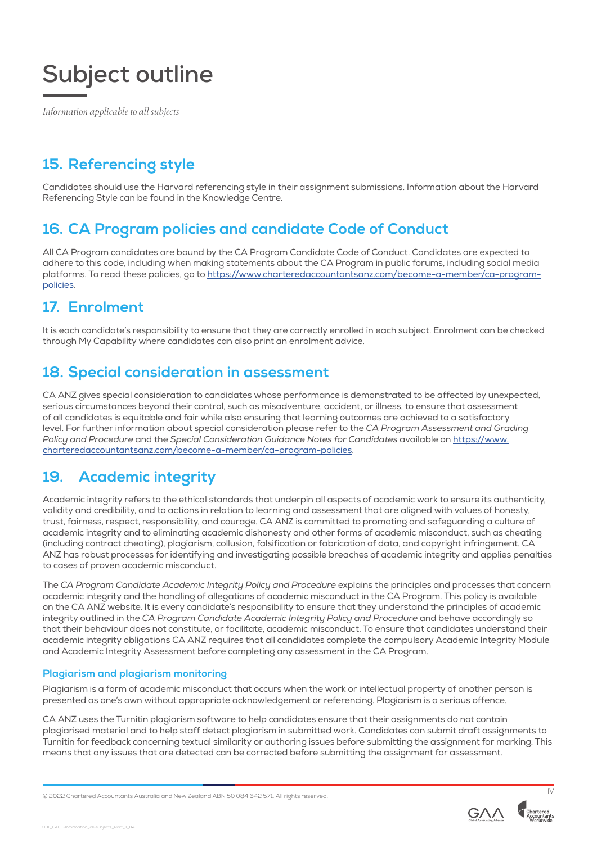*Information applicable to all subjects*

## **15. Referencing style**

Candidates should use the Harvard referencing style in their assignment submissions. Information about the Harvard Referencing Style can be found in the Knowledge Centre.

### **16. CA Program policies and candidate Code of Conduct**

All CA Program candidates are bound by the CA Program Candidate Code of Conduct. Candidates are expected to adhere to this code, including when making statements about the CA Program in public forums, including social media platforms. To read these policies, go to [https://www.charteredaccountantsanz.com/become-a-member/ca-program](https://www.charteredaccountantsanz.com/become-a-member/ca-program-policies)[policies.](https://www.charteredaccountantsanz.com/become-a-member/ca-program-policies)

## **17. Enrolment**

It is each candidate's responsibility to ensure that they are correctly enrolled in each subject. Enrolment can be checked through My Capability where candidates can also print an enrolment advice.

## **18. Special consideration in assessment**

CA ANZ gives special consideration to candidates whose performance is demonstrated to be affected by unexpected, serious circumstances beyond their control, such as misadventure, accident, or illness, to ensure that assessment of all candidates is equitable and fair while also ensuring that learning outcomes are achieved to a satisfactory level. For further information about special consideration please refer to the *CA Program Assessment and Grading Policy and Procedure* and the *Special Consideration Guidance Notes for Candidates* available on [https://www.](http://) [charteredaccountantsanz.com/become-a-member/ca-program-policies](http://).

## **19. Academic integrity**

Academic integrity refers to the ethical standards that underpin all aspects of academic work to ensure its authenticity, validity and credibility, and to actions in relation to learning and assessment that are aligned with values of honesty, trust, fairness, respect, responsibility, and courage. CA ANZ is committed to promoting and safeguarding a culture of academic integrity and to eliminating academic dishonesty and other forms of academic misconduct, such as cheating (including contract cheating), plagiarism, collusion, falsification or fabrication of data, and copyright infringement. CA ANZ has robust processes for identifying and investigating possible breaches of academic integrity and applies penalties to cases of proven academic misconduct.

The *CA Program Candidate Academic Integrity Policy and Procedure* explains the principles and processes that concern academic integrity and the handling of allegations of academic misconduct in the CA Program. This policy is available on the CA ANZ website. It is every candidate's responsibility to ensure that they understand the principles of academic integrity outlined in the *CA Program Candidate Academic Integrity Policy and Procedure* and behave accordingly so that their behaviour does not constitute, or facilitate, academic misconduct. To ensure that candidates understand their academic integrity obligations CA ANZ requires that all candidates complete the compulsory Academic Integrity Module and Academic Integrity Assessment before completing any assessment in the CA Program.

#### **Plagiarism and plagiarism monitoring**

Plagiarism is a form of academic misconduct that occurs when the work or intellectual property of another person is presented as one's own without appropriate acknowledgement or referencing. Plagiarism is a serious offence.

CA ANZ uses the Turnitin plagiarism software to help candidates ensure that their assignments do not contain plagiarised material and to help staff detect plagiarism in submitted work. Candidates can submit draft assignments to Turnitin for feedback concerning textual similarity or authoring issues before submitting the assignment for marking. This means that any issues that are detected can be corrected before submitting the assignment for assessment.